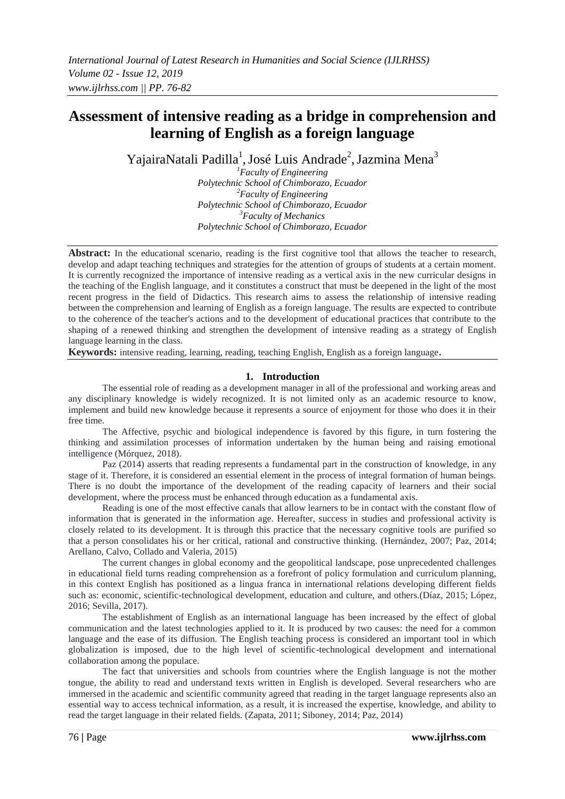# **Assessment of intensive reading as a bridge in comprehension and learning of English as a foreign language**

YajairaNatali Padilla<sup>1</sup>, José Luis Andrade<sup>2</sup>, Jazmina Mena<sup>3</sup>

*<sup>1</sup>Faculty of Engineering Polytechnic School of Chimborazo, Ecuador <sup>2</sup>Faculty of Engineering Polytechnic School of Chimborazo, Ecuador <sup>3</sup>Faculty of Mechanics Polytechnic School of Chimborazo, Ecuador*

Abstract: In the educational scenario, reading is the first cognitive tool that allows the teacher to research, develop and adapt teaching techniques and strategies for the attention of groups of students at a certain moment. It is currently recognized the importance of intensive reading as a vertical axis in the new curricular designs in the teaching of the English language, and it constitutes a construct that must be deepened in the light of the most recent progress in the field of Didactics. This research aims to assess the relationship of intensive reading between the comprehension and learning of English as a foreign language. The results are expected to contribute to the coherence of the teacher's actions and to the development of educational practices that contribute to the shaping of a renewed thinking and strengthen the development of intensive reading as a strategy of English language learning in the class.

**Keywords:** intensive reading, learning, reading, teaching English, English as a foreign language**.**

#### **1. Introduction**

The essential role of reading as a development manager in all of the professional and working areas and any disciplinary knowledge is widely recognized. It is not limited only as an academic resource to know, implement and build new knowledge because it represents a source of enjoyment for those who does it in their free time.

The Affective, psychic and biological independence is favored by this figure, in turn fostering the thinking and assimilation processes of information undertaken by the human being and raising emotional intelligence (Mórquez, 2018).

Paz (2014) asserts that reading represents a fundamental part in the construction of knowledge, in any stage of it. Therefore, it is considered an essential element in the process of integral formation of human beings. There is no doubt the importance of the development of the reading capacity of learners and their social development, where the process must be enhanced through education as a fundamental axis.

Reading is one of the most effective canals that allow learners to be in contact with the constant flow of information that is generated in the information age. Hereafter, success in studies and professional activity is closely related to its development. It is through this practice that the necessary cognitive tools are purified so that a person consolidates his or her critical, rational and constructive thinking. (Hernández, 2007; Paz, 2014; Arellano, Calvo, Collado and Valeria, 2015)

The current changes in global economy and the geopolitical landscape, pose unprecedented challenges in educational field turns reading comprehension as a forefront of policy formulation and curriculum planning, in this context English has positioned as a lingua franca in international relations developing different fields such as: economic, scientific-technological development, education and culture, and others.(Díaz, 2015; López, 2016; Sevilla, 2017).

The establishment of English as an international language has been increased by the effect of global communication and the latest technologies applied to it. It is produced by two causes: the need for a common language and the ease of its diffusion. The English teaching process is considered an important tool in which globalization is imposed, due to the high level of scientific-technological development and international collaboration among the populace.

The fact that universities and schools from countries where the English language is not the mother tongue, the ability to read and understand texts written in English is developed. Several researchers who are immersed in the academic and scientific community agreed that reading in the target language represents also an essential way to access technical information, as a result, it is increased the expertise, knowledge, and ability to read the target language in their related fields. (Zapata, 2011; Siboney, 2014; Paz, 2014)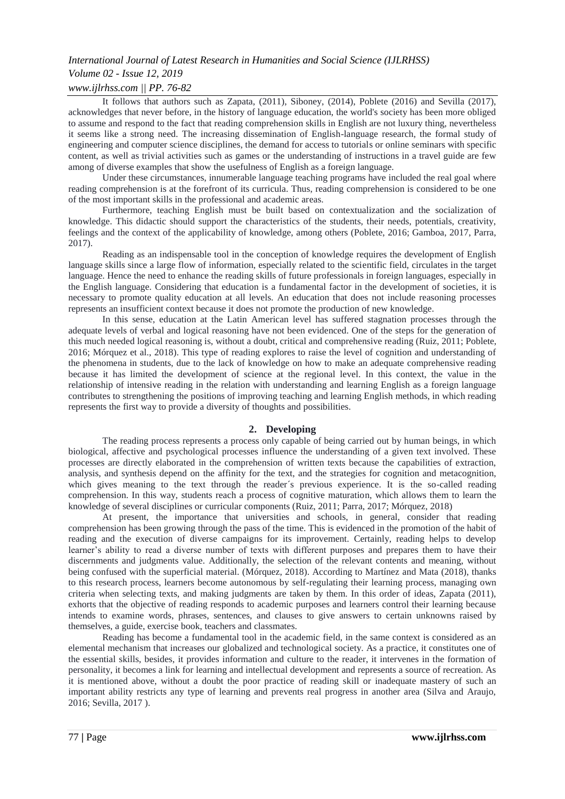# *Volume 02 - Issue 12, 2019*

# *www.ijlrhss.com || PP. 76-82*

It follows that authors such as Zapata, (2011), Siboney, (2014), Poblete (2016) and Sevilla (2017), acknowledges that never before, in the history of language education, the world's society has been more obliged to assume and respond to the fact that reading comprehension skills in English are not luxury thing, nevertheless it seems like a strong need. The increasing dissemination of English-language research, the formal study of engineering and computer science disciplines, the demand for access to tutorials or online seminars with specific content, as well as trivial activities such as games or the understanding of instructions in a travel guide are few among of diverse examples that show the usefulness of English as a foreign language.

Under these circumstances, innumerable language teaching programs have included the real goal where reading comprehension is at the forefront of its curricula. Thus, reading comprehension is considered to be one of the most important skills in the professional and academic areas.

Furthermore, teaching English must be built based on contextualization and the socialization of knowledge. This didactic should support the characteristics of the students, their needs, potentials, creativity, feelings and the context of the applicability of knowledge, among others (Poblete, 2016; Gamboa, 2017, Parra, 2017).

Reading as an indispensable tool in the conception of knowledge requires the development of English language skills since a large flow of information, especially related to the scientific field, circulates in the target language. Hence the need to enhance the reading skills of future professionals in foreign languages, especially in the English language. Considering that education is a fundamental factor in the development of societies, it is necessary to promote quality education at all levels. An education that does not include reasoning processes represents an insufficient context because it does not promote the production of new knowledge.

In this sense, education at the Latin American level has suffered stagnation processes through the adequate levels of verbal and logical reasoning have not been evidenced. One of the steps for the generation of this much needed logical reasoning is, without a doubt, critical and comprehensive reading (Ruiz, 2011; Poblete, 2016; Mórquez et al., 2018). This type of reading explores to raise the level of cognition and understanding of the phenomena in students, due to the lack of knowledge on how to make an adequate comprehensive reading because it has limited the development of science at the regional level. In this context, the value in the relationship of intensive reading in the relation with understanding and learning English as a foreign language contributes to strengthening the positions of improving teaching and learning English methods, in which reading represents the first way to provide a diversity of thoughts and possibilities.

### **2. Developing**

The reading process represents a process only capable of being carried out by human beings, in which biological, affective and psychological processes influence the understanding of a given text involved. These processes are directly elaborated in the comprehension of written texts because the capabilities of extraction, analysis, and synthesis depend on the affinity for the text, and the strategies for cognition and metacognition, which gives meaning to the text through the reader's previous experience. It is the so-called reading comprehension. In this way, students reach a process of cognitive maturation, which allows them to learn the knowledge of several disciplines or curricular components (Ruiz, 2011; Parra, 2017; Mórquez, 2018)

At present, the importance that universities and schools, in general, consider that reading comprehension has been growing through the pass of the time. This is evidenced in the promotion of the habit of reading and the execution of diverse campaigns for its improvement. Certainly, reading helps to develop learner's ability to read a diverse number of texts with different purposes and prepares them to have their discernments and judgments value. Additionally, the selection of the relevant contents and meaning, without being confused with the superficial material. (Mórquez, 2018). According to Martínez and Mata (2018), thanks to this research process, learners become autonomous by self-regulating their learning process, managing own criteria when selecting texts, and making judgments are taken by them. In this order of ideas, Zapata (2011), exhorts that the objective of reading responds to academic purposes and learners control their learning because intends to examine words, phrases, sentences, and clauses to give answers to certain unknowns raised by themselves, a guide, exercise book, teachers and classmates.

Reading has become a fundamental tool in the academic field, in the same context is considered as an elemental mechanism that increases our globalized and technological society. As a practice, it constitutes one of the essential skills, besides, it provides information and culture to the reader, it intervenes in the formation of personality, it becomes a link for learning and intellectual development and represents a source of recreation. As it is mentioned above, without a doubt the poor practice of reading skill or inadequate mastery of such an important ability restricts any type of learning and prevents real progress in another area (Silva and Araujo, 2016; Sevilla, 2017 ).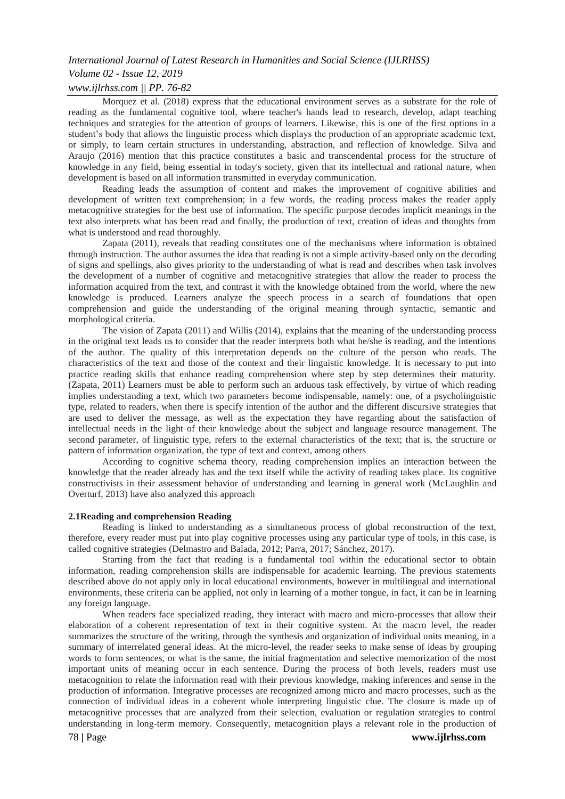# *Volume 02 - Issue 12, 2019*

# *www.ijlrhss.com || PP. 76-82*

Morquez et al. (2018) express that the educational environment serves as a substrate for the role of reading as the fundamental cognitive tool, where teacher's hands lead to research, develop, adapt teaching techniques and strategies for the attention of groups of learners. Likewise, this is one of the first options in a student's body that allows the linguistic process which displays the production of an appropriate academic text, or simply, to learn certain structures in understanding, abstraction, and reflection of knowledge. Silva and Araujo (2016) mention that this practice constitutes a basic and transcendental process for the structure of knowledge in any field, being essential in today's society, given that its intellectual and rational nature, when development is based on all information transmitted in everyday communication.

Reading leads the assumption of content and makes the improvement of cognitive abilities and development of written text comprehension; in a few words, the reading process makes the reader apply metacognitive strategies for the best use of information. The specific purpose decodes implicit meanings in the text also interprets what has been read and finally, the production of text, creation of ideas and thoughts from what is understood and read thoroughly.

Zapata (2011), reveals that reading constitutes one of the mechanisms where information is obtained through instruction. The author assumes the idea that reading is not a simple activity-based only on the decoding of signs and spellings, also gives priority to the understanding of what is read and describes when task involves the development of a number of cognitive and metacognitive strategies that allow the reader to process the information acquired from the text, and contrast it with the knowledge obtained from the world, where the new knowledge is produced. Learners analyze the speech process in a search of foundations that open comprehension and guide the understanding of the original meaning through syntactic, semantic and morphological criteria.

The vision of Zapata (2011) and Willis (2014), explains that the meaning of the understanding process in the original text leads us to consider that the reader interprets both what he/she is reading, and the intentions of the author. The quality of this interpretation depends on the culture of the person who reads. The characteristics of the text and those of the context and their linguistic knowledge. It is necessary to put into practice reading skills that enhance reading comprehension where step by step determines their maturity. (Zapata, 2011) Learners must be able to perform such an arduous task effectively, by virtue of which reading implies understanding a text, which two parameters become indispensable, namely: one, of a psycholinguistic type, related to readers, when there is specify intention of the author and the different discursive strategies that are used to deliver the message, as well as the expectation they have regarding about the satisfaction of intellectual needs in the light of their knowledge about the subject and language resource management. The second parameter, of linguistic type, refers to the external characteristics of the text; that is, the structure or pattern of information organization, the type of text and context, among others

According to cognitive schema theory, reading comprehension implies an interaction between the knowledge that the reader already has and the text itself while the activity of reading takes place. Its cognitive constructivists in their assessment behavior of understanding and learning in general work (McLaughlin and Overturf, 2013) have also analyzed this approach

#### **2.1Reading and comprehension Reading**

Reading is linked to understanding as a simultaneous process of global reconstruction of the text, therefore, every reader must put into play cognitive processes using any particular type of tools, in this case, is called cognitive strategies (Delmastro and Balada, 2012; Parra, 2017; Sánchez, 2017).

Starting from the fact that reading is a fundamental tool within the educational sector to obtain information, reading comprehension skills are indispensable for academic learning. The previous statements described above do not apply only in local educational environments, however in multilingual and international environments, these criteria can be applied, not only in learning of a mother tongue, in fact, it can be in learning any foreign language.

When readers face specialized reading, they interact with macro and micro-processes that allow their elaboration of a coherent representation of text in their cognitive system. At the macro level, the reader summarizes the structure of the writing, through the synthesis and organization of individual units meaning, in a summary of interrelated general ideas. At the micro-level, the reader seeks to make sense of ideas by grouping words to form sentences, or what is the same, the initial fragmentation and selective memorization of the most important units of meaning occur in each sentence. During the process of both levels, readers must use metacognition to relate the information read with their previous knowledge, making inferences and sense in the production of information. Integrative processes are recognized among micro and macro processes, such as the connection of individual ideas in a coherent whole interpreting linguistic clue. The closure is made up of metacognitive processes that are analyzed from their selection, evaluation or regulation strategies to control understanding in long-term memory. Consequently, metacognition plays a relevant role in the production of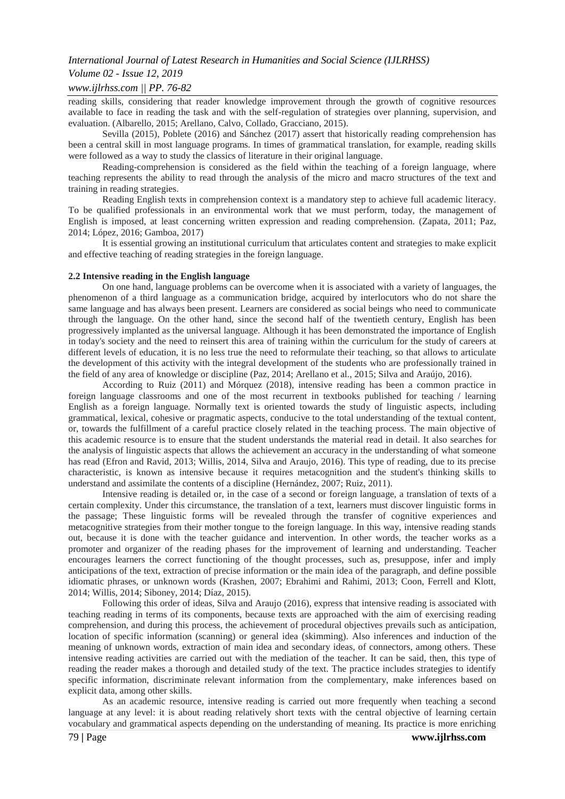#### *Volume 02 - Issue 12, 2019*

#### *www.ijlrhss.com || PP. 76-82*

reading skills, considering that reader knowledge improvement through the growth of cognitive resources available to face in reading the task and with the self-regulation of strategies over planning, supervision, and evaluation. (Albarello, 2015; Arellano, Calvo, Collado, Gracciano, 2015).

Sevilla (2015), Poblete (2016) and Sánchez (2017) assert that historically reading comprehension has been a central skill in most language programs. In times of grammatical translation, for example, reading skills were followed as a way to study the classics of literature in their original language.

Reading-comprehension is considered as the field within the teaching of a foreign language, where teaching represents the ability to read through the analysis of the micro and macro structures of the text and training in reading strategies.

Reading English texts in comprehension context is a mandatory step to achieve full academic literacy. To be qualified professionals in an environmental work that we must perform, today, the management of English is imposed, at least concerning written expression and reading comprehension. (Zapata, 2011; Paz, 2014; López, 2016; Gamboa, 2017)

It is essential growing an institutional curriculum that articulates content and strategies to make explicit and effective teaching of reading strategies in the foreign language.

#### **2.2 Intensive reading in the English language**

On one hand, language problems can be overcome when it is associated with a variety of languages, the phenomenon of a third language as a communication bridge, acquired by interlocutors who do not share the same language and has always been present. Learners are considered as social beings who need to communicate through the language. On the other hand, since the second half of the twentieth century, English has been progressively implanted as the universal language. Although it has been demonstrated the importance of English in today's society and the need to reinsert this area of training within the curriculum for the study of careers at different levels of education, it is no less true the need to reformulate their teaching, so that allows to articulate the development of this activity with the integral development of the students who are professionally trained in the field of any area of knowledge or discipline (Paz, 2014; Arellano et al., 2015; Silva and Araújo, 2016).

According to Ruiz (2011) and Mórquez (2018), intensive reading has been a common practice in foreign language classrooms and one of the most recurrent in textbooks published for teaching / learning English as a foreign language. Normally text is oriented towards the study of linguistic aspects, including grammatical, lexical, cohesive or pragmatic aspects, conducive to the total understanding of the textual content, or, towards the fulfillment of a careful practice closely related in the teaching process. The main objective of this academic resource is to ensure that the student understands the material read in detail. It also searches for the analysis of linguistic aspects that allows the achievement an accuracy in the understanding of what someone has read (Efron and Ravid, 2013; Willis, 2014, Silva and Araujo, 2016). This type of reading, due to its precise characteristic, is known as intensive because it requires metacognition and the student's thinking skills to understand and assimilate the contents of a discipline (Hernández, 2007; Ruiz, 2011).

Intensive reading is detailed or, in the case of a second or foreign language, a translation of texts of a certain complexity. Under this circumstance, the translation of a text, learners must discover linguistic forms in the passage; These linguistic forms will be revealed through the transfer of cognitive experiences and metacognitive strategies from their mother tongue to the foreign language. In this way, intensive reading stands out, because it is done with the teacher guidance and intervention. In other words, the teacher works as a promoter and organizer of the reading phases for the improvement of learning and understanding. Teacher encourages learners the correct functioning of the thought processes, such as, presuppose, infer and imply anticipations of the text, extraction of precise information or the main idea of the paragraph, and define possible idiomatic phrases, or unknown words (Krashen, 2007; Ebrahimi and Rahimi, 2013; Coon, Ferrell and Klott, 2014; Willis, 2014; Siboney, 2014; Díaz, 2015).

Following this order of ideas, Silva and Araujo (2016), express that intensive reading is associated with teaching reading in terms of its components, because texts are approached with the aim of exercising reading comprehension, and during this process, the achievement of procedural objectives prevails such as anticipation, location of specific information (scanning) or general idea (skimming). Also inferences and induction of the meaning of unknown words, extraction of main idea and secondary ideas, of connectors, among others. These intensive reading activities are carried out with the mediation of the teacher. It can be said, then, this type of reading the reader makes a thorough and detailed study of the text. The practice includes strategies to identify specific information, discriminate relevant information from the complementary, make inferences based on explicit data, among other skills.

As an academic resource, intensive reading is carried out more frequently when teaching a second language at any level: it is about reading relatively short texts with the central objective of learning certain vocabulary and grammatical aspects depending on the understanding of meaning. Its practice is more enriching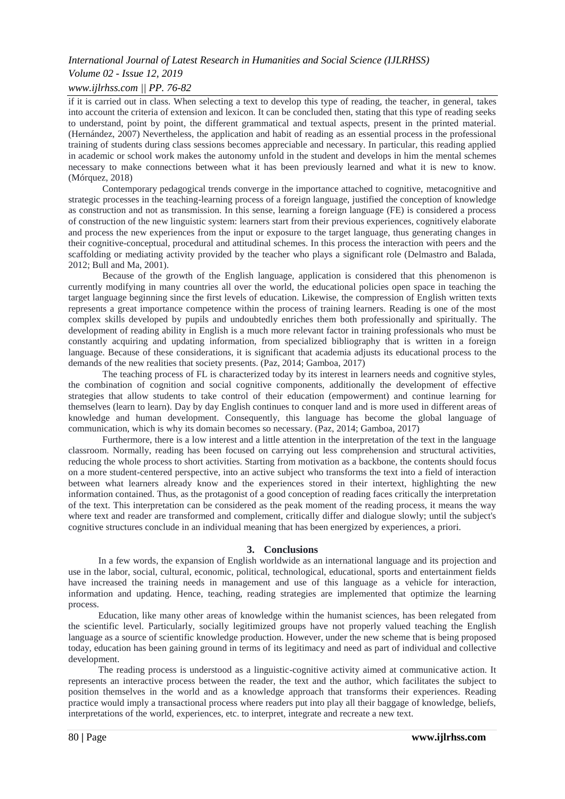# *Volume 02 - Issue 12, 2019*

#### *www.ijlrhss.com || PP. 76-82*

if it is carried out in class. When selecting a text to develop this type of reading, the teacher, in general, takes into account the criteria of extension and lexicon. It can be concluded then, stating that this type of reading seeks to understand, point by point, the different grammatical and textual aspects, present in the printed material. (Hernández, 2007) Nevertheless, the application and habit of reading as an essential process in the professional training of students during class sessions becomes appreciable and necessary. In particular, this reading applied in academic or school work makes the autonomy unfold in the student and develops in him the mental schemes necessary to make connections between what it has been previously learned and what it is new to know. (Mórquez, 2018)

Contemporary pedagogical trends converge in the importance attached to cognitive, metacognitive and strategic processes in the teaching-learning process of a foreign language, justified the conception of knowledge as construction and not as transmission. In this sense, learning a foreign language (FE) is considered a process of construction of the new linguistic system: learners start from their previous experiences, cognitively elaborate and process the new experiences from the input or exposure to the target language, thus generating changes in their cognitive-conceptual, procedural and attitudinal schemes. In this process the interaction with peers and the scaffolding or mediating activity provided by the teacher who plays a significant role (Delmastro and Balada, 2012; Bull and Ma, 2001).

Because of the growth of the English language, application is considered that this phenomenon is currently modifying in many countries all over the world, the educational policies open space in teaching the target language beginning since the first levels of education. Likewise, the compression of English written texts represents a great importance competence within the process of training learners. Reading is one of the most complex skills developed by pupils and undoubtedly enriches them both professionally and spiritually. The development of reading ability in English is a much more relevant factor in training professionals who must be constantly acquiring and updating information, from specialized bibliography that is written in a foreign language. Because of these considerations, it is significant that academia adjusts its educational process to the demands of the new realities that society presents. (Paz, 2014; Gamboa, 2017)

The teaching process of FL is characterized today by its interest in learners needs and cognitive styles, the combination of cognition and social cognitive components, additionally the development of effective strategies that allow students to take control of their education (empowerment) and continue learning for themselves (learn to learn). Day by day English continues to conquer land and is more used in different areas of knowledge and human development. Consequently, this language has become the global language of communication, which is why its domain becomes so necessary. (Paz, 2014; Gamboa, 2017)

Furthermore, there is a low interest and a little attention in the interpretation of the text in the language classroom. Normally, reading has been focused on carrying out less comprehension and structural activities, reducing the whole process to short activities. Starting from motivation as a backbone, the contents should focus on a more student-centered perspective, into an active subject who transforms the text into a field of interaction between what learners already know and the experiences stored in their intertext, highlighting the new information contained. Thus, as the protagonist of a good conception of reading faces critically the interpretation of the text. This interpretation can be considered as the peak moment of the reading process, it means the way where text and reader are transformed and complement, critically differ and dialogue slowly; until the subject's cognitive structures conclude in an individual meaning that has been energized by experiences, a priori.

#### **3. Conclusions**

In a few words, the expansion of English worldwide as an international language and its projection and use in the labor, social, cultural, economic, political, technological, educational, sports and entertainment fields have increased the training needs in management and use of this language as a vehicle for interaction, information and updating. Hence, teaching, reading strategies are implemented that optimize the learning process.

Education, like many other areas of knowledge within the humanist sciences, has been relegated from the scientific level. Particularly, socially legitimized groups have not properly valued teaching the English language as a source of scientific knowledge production. However, under the new scheme that is being proposed today, education has been gaining ground in terms of its legitimacy and need as part of individual and collective development.

The reading process is understood as a linguistic-cognitive activity aimed at communicative action. It represents an interactive process between the reader, the text and the author, which facilitates the subject to position themselves in the world and as a knowledge approach that transforms their experiences. Reading practice would imply a transactional process where readers put into play all their baggage of knowledge, beliefs, interpretations of the world, experiences, etc. to interpret, integrate and recreate a new text.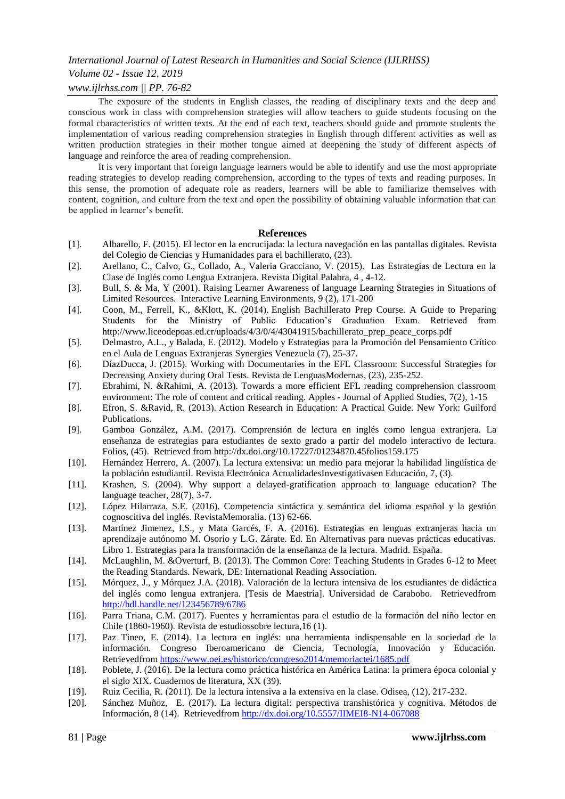# *Volume 02 - Issue 12, 2019*

# *www.ijlrhss.com || PP. 76-82*

The exposure of the students in English classes, the reading of disciplinary texts and the deep and conscious work in class with comprehension strategies will allow teachers to guide students focusing on the formal characteristics of written texts. At the end of each text, teachers should guide and promote students the implementation of various reading comprehension strategies in English through different activities as well as written production strategies in their mother tongue aimed at deepening the study of different aspects of language and reinforce the area of reading comprehension.

It is very important that foreign language learners would be able to identify and use the most appropriate reading strategies to develop reading comprehension, according to the types of texts and reading purposes. In this sense, the promotion of adequate role as readers, learners will be able to familiarize themselves with content, cognition, and culture from the text and open the possibility of obtaining valuable information that can be applied in learner's benefit.

#### **References**

- [1]. Albarello, F. (2015). El lector en la encrucijada: la lectura navegación en las pantallas digitales. Revista del Colegio de Ciencias y Humanidades para el bachillerato, (23).
- [2]. Arellano, C., Calvo, G., Collado, A., Valeria Gracciano, V. (2015). Las Estrategias de Lectura en la Clase de Inglés como Lengua Extranjera. Revista Digital Palabra, 4 , 4-12.
- [3]. Bull, S. & Ma, Y (2001). Raising Learner Awareness of language Learning Strategies in Situations of Limited Resources. Interactive Learning Environments, 9 (2), 171-200
- [4]. Coon, M., Ferrell, K., &Klott, K. (2014). English Bachillerato Prep Course. A Guide to Preparing Students for the Ministry of Public Education's Graduation Exam. Retrieved from [http://www.liceodepoas.ed.cr/uploads/4/3/0/4/43041915/bachillerato\\_prep\\_peace\\_corps.pdf](http://www.liceodepoas.ed.cr/uploads/4/3/0/4/43041915/bachillerato_prep_peace_corps.pdf)
- [5]. Delmastro, A.L., y Balada, E. (2012). Modelo y Estrategias para la Promoción del Pensamiento Crítico en el Aula de Lenguas Extranjeras Synergies Venezuela (7), 25-37.
- [6]. DíazDucca, J. (2015). Working with Documentaries in the EFL Classroom: Successful Strategies for Decreasing Anxiety during Oral Tests. Revista de LenguasModernas, (23), 235-252.
- [7]. Ebrahimi, N. &Rahimi, A. (2013). Towards a more efficient EFL reading comprehension classroom environment: The role of content and critical reading. Apples - Journal of Applied Studies, 7(2), 1-15
- [8]. Efron, S. &Ravid, R. (2013). Action Research in Education: A Practical Guide. New York: Guilford Publications.
- [9]. Gamboa González, A.M. (2017). Comprensión de lectura en inglés como lengua extranjera. La enseñanza de estrategias para estudiantes de sexto grado a partir del modelo interactivo de lectura. Folios, (45). Retrieved from<http://dx.doi.org/10.17227/01234870.45folios159.175>
- [10]. Hernández Herrero, A. (2007). La lectura extensiva: un medio para mejorar la habilidad lingüística de la población estudiantil. Revista Electrónica ActualidadesInvestigativasen Educación, 7, (3).
- [11]. Krashen, S. (2004). Why support a delayed-gratification approach to language education? The language teacher, 28(7), 3-7.
- [12]. López Hilarraza, S.E. (2016). Competencia sintáctica y semántica del idioma español y la gestión cognoscitiva del inglés. RevistaMemoralia. (13) 62-66.
- [13]. Martínez Jimenez, I.S., y Mata Garcés, F. A. (2016). Estrategias en lenguas extranjeras hacia un aprendizaje autónomo M. Osorio y L.G. Zárate. Ed. En Alternativas para nuevas prácticas educativas. Libro 1. Estrategias para la transformación de la enseñanza de la lectura. Madrid. España.
- [14]. McLaughlin, M. &Overturf, B. (2013). The Common Core: Teaching Students in Grades 6-12 to Meet the Reading Standards. Newark, DE: International Reading Association.
- [15]. Mórquez, J., y Mórquez J.A. (2018). Valoración de la lectura intensiva de los estudiantes de didáctica del inglés como lengua extranjera. [Tesis de Maestría]. Universidad de Carabobo. Retrievedfrom <http://hdl.handle.net/123456789/6786>
- [16]. Parra Triana, C.M. (2017). Fuentes y herramientas para el estudio de la formación del niño lector en Chile (1860-1960). Revista de estudiossobre lectura,16 (1).
- [17]. Paz Tineo, E. (2014). La lectura en inglés: una herramienta indispensable en la sociedad de la información. Congreso Iberoamericano de Ciencia, Tecnología, Innovación y Educación. Retrievedfrom<https://www.oei.es/historico/congreso2014/memoriactei/1685.pdf>
- [18]. Poblete, J. (2016). De la lectura como práctica histórica en América Latina: la primera época colonial y el siglo XIX. Cuadernos de literatura, XX (39).
- [19]. Ruiz Cecilia, R. (2011). De la lectura intensiva a la extensiva en la clase. Odisea, (12), 217-232.
- [20]. Sánchez Muñoz, E. (2017). La lectura digital: perspectiva transhistórica y cognitiva. Métodos de Información, 8 (14). Retrievedfrom<http://dx.doi.org/10.5557/IIMEI8-N14-067088>